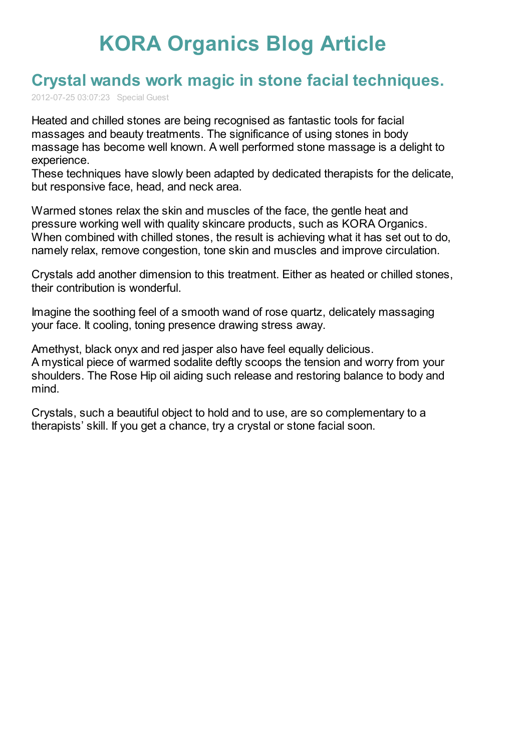## **KORA [Organics](http://www.koraorganics.com/blog) Blog Article**

## **Crystal wands work magic in stone facial [techniques.](http://www.koraorganics.com/blog/live-in-my-skin/all-things-organic/organic-certification/crystal-wands-work-magic-in-stone-facial-techniques/)**

2012-07-25 03:07:23 Special Guest

Heated and chilled stones are being recognised as fantastic tools for facial massages and beauty treatments. The significance of using stones in body massage has become well known. A well performed stone massage is a delight to experience.

These techniques have slowly been adapted by dedicated therapists for the delicate, but responsive face, head, and neck area.

Warmed stones relax the skin and muscles of the face, the gentle heat and pressure working well with quality skincare products, such as KORA Organics. When combined with chilled stones, the result is achieving what it has set out to do, namely relax, remove congestion, tone skin and muscles and improve circulation.

Crystals add another dimension to this treatment. Either as heated or chilled stones, their contribution is wonderful.

Imagine the soothing feel of a smooth wand of rose quartz, delicately massaging your face. It cooling, toning presence drawing stress away.

Amethyst, black onyx and red jasper also have feel equally delicious. A mystical piece of warmed sodalite deftly scoops the tension and worry from your shoulders. The Rose Hip oil aiding such release and restoring balance to body and mind.

Crystals, such a beautiful object to hold and to use, are so complementary to a therapists' skill. If you get a chance, try a crystal or stone facial soon.